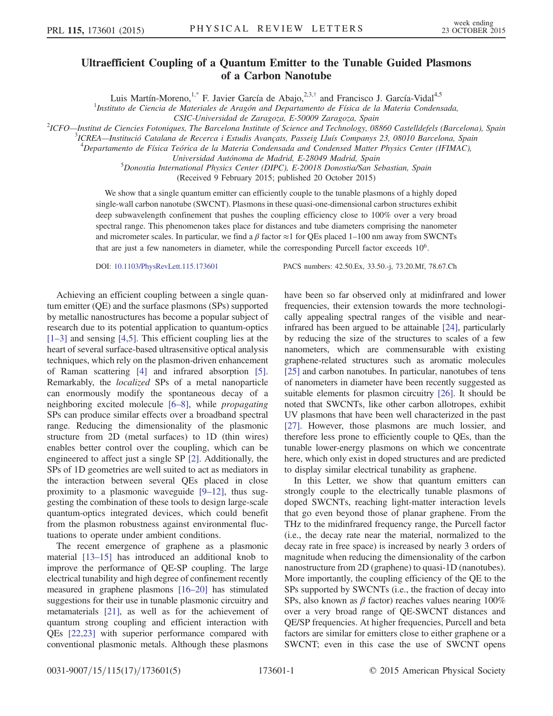## Ultraefficient Coupling of a Quantum Emitter to the Tunable Guided Plasmons of a Carbon Nanotube

Luis Martín-Moreno, <sup>[1,\\*](#page-4-0)</sup> F. Javier García de Abajo,  $2,3,4$  and Francisco J. García-Vidal<sup>4,5</sup>

<sup>1</sup>Instituto de Ciencia de Materiales de Aragón and Departamento de Física de la Materia Condensada,

CSIC-Universidad de Zaragoza, E-50009 Zaragoza, Spain <sup>2</sup>

<span id="page-0-0"></span><sup>2</sup>ICFO—Institut de Ciencies Fotoniques, The Barcelona Institute of Science and Technology, 08860 Castelldefels (Barcelona), Spain

<sup>3</sup>ICREA—Institució Catalana de Recerca i Estudis Avançats, Passeig Lluís Companys 23, 08010 Barcelona, Spain <sup>4</sup><br><sup>4</sup> Departemento de Eísias Teórica de la Materia Condensada and Condensed Matter Physics Captar (IEIMAC)

 $^4$ Departamento de Física Teórica de la Materia Condensada and Condensed Matter Physics Center (IFIMAC),

Universidad Autónoma de Madrid, E-28049 Madrid, Spain <sup>5</sup>

Donostia International Physics Center (DIPC), E-20018 Donostia/San Sebastian, Spain

(Received 9 February 2015; published 20 October 2015)

We show that a single quantum emitter can efficiently couple to the tunable plasmons of a highly doped single-wall carbon nanotube (SWCNT). Plasmons in these quasi-one-dimensional carbon structures exhibit deep subwavelength confinement that pushes the coupling efficiency close to 100% over a very broad spectral range. This phenomenon takes place for distances and tube diameters comprising the nanometer and micrometer scales. In particular, we find a  $\beta$  factor  $\approx$ 1 for QEs placed 1–100 nm away from SWCNTs that are just a few nanometers in diameter, while the corresponding Purcell factor exceeds 10<sup>6</sup>.

DOI: [10.1103/PhysRevLett.115.173601](http://dx.doi.org/10.1103/PhysRevLett.115.173601) PACS numbers: 42.50.Ex, 33.50.-j, 73.20.Mf, 78.67.Ch

Achieving an efficient coupling between a single quantum emitter (QE) and the surface plasmons (SPs) supported by metallic nanostructures has become a popular subject of research due to its potential application to quantum-optics [\[1](#page-4-2)–3] and sensing [\[4,5\].](#page-4-3) This efficient coupling lies at the heart of several surface-based ultrasensitive optical analysis techniques, which rely on the plasmon-driven enhancement of Raman scattering [\[4\]](#page-4-3) and infrared absorption [\[5\]](#page-4-4). Remarkably, the localized SPs of a metal nanoparticle can enormously modify the spontaneous decay of a neighboring excited molecule [6–[8\],](#page-4-5) while propagating SPs can produce similar effects over a broadband spectral range. Reducing the dimensionality of the plasmonic structure from 2D (metal surfaces) to 1D (thin wires) enables better control over the coupling, which can be engineered to affect just a single SP [\[2\]](#page-4-6). Additionally, the SPs of 1D geometries are well suited to act as mediators in the interaction between several QEs placed in close proximity to a plasmonic waveguide [9–[12\]](#page-4-7), thus suggesting the combination of these tools to design large-scale quantum-optics integrated devices, which could benefit from the plasmon robustness against environmental fluctuations to operate under ambient conditions.

The recent emergence of graphene as a plasmonic material [13–[15\]](#page-4-8) has introduced an additional knob to improve the performance of QE-SP coupling. The large electrical tunability and high degree of confinement recently measured in graphene plasmons [16–[20\]](#page-4-9) has stimulated suggestions for their use in tunable plasmonic circuitry and metamaterials [\[21\]](#page-4-10), as well as for the achievement of quantum strong coupling and efficient interaction with QEs [\[22,23\]](#page-4-11) with superior performance compared with conventional plasmonic metals. Although these plasmons have been so far observed only at midinfrared and lower frequencies, their extension towards the more technologically appealing spectral ranges of the visible and nearinfrared has been argued to be attainable [\[24\],](#page-4-12) particularly by reducing the size of the structures to scales of a few nanometers, which are commensurable with existing graphene-related structures such as aromatic molecules [\[25\]](#page-4-13) and carbon nanotubes. In particular, nanotubes of tens of nanometers in diameter have been recently suggested as suitable elements for plasmon circuitry [\[26\].](#page-4-14) It should be noted that SWCNTs, like other carbon allotropes, exhibit UV plasmons that have been well characterized in the past [\[27\]](#page-4-15). However, those plasmons are much lossier, and therefore less prone to efficiently couple to QEs, than the tunable lower-energy plasmons on which we concentrate here, which only exist in doped structures and are predicted to display similar electrical tunability as graphene.

In this Letter, we show that quantum emitters can strongly couple to the electrically tunable plasmons of doped SWCNTs, reaching light-matter interaction levels that go even beyond those of planar graphene. From the THz to the midinfrared frequency range, the Purcell factor (i.e., the decay rate near the material, normalized to the decay rate in free space) is increased by nearly 3 orders of magnitude when reducing the dimensionality of the carbon nanostructure from 2D (graphene) to quasi-1D (nanotubes). More importantly, the coupling efficiency of the QE to the SPs supported by SWCNTs (i.e., the fraction of decay into SPs, also known as  $\beta$  factor) reaches values nearing 100% over a very broad range of QE-SWCNT distances and QE/SP frequencies. At higher frequencies, Purcell and beta factors are similar for emitters close to either graphene or a SWCNT; even in this case the use of SWCNT opens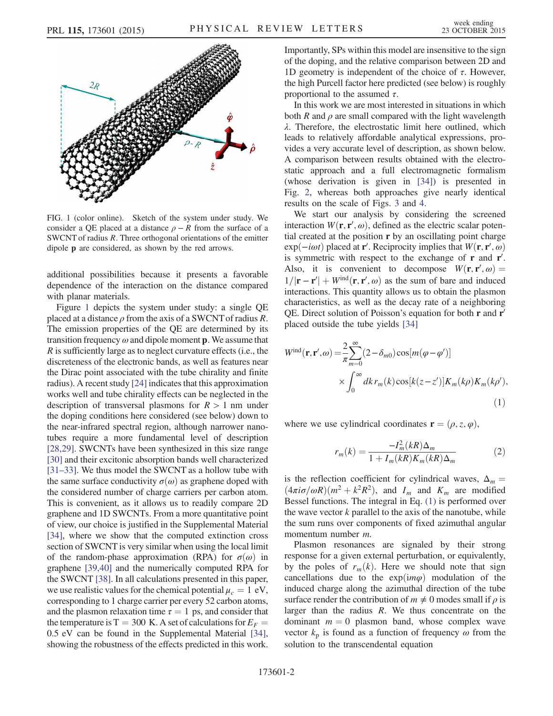<span id="page-1-0"></span>

FIG. 1 (color online). Sketch of the system under study. We consider a QE placed at a distance  $\rho - R$  from the surface of a SWCNT of radius R. Three orthogonal orientations of the emitter dipole p are considered, as shown by the red arrows.

additional possibilities because it presents a favorable dependence of the interaction on the distance compared with planar materials.

Figure [1](#page-1-0) depicts the system under study: a single QE placed at a distance  $\rho$  from the axis of a SWCNT of radius R. The emission properties of the QE are determined by its transition frequency  $\omega$  and dipole moment **p**. We assume that R is sufficiently large as to neglect curvature effects (i.e., the discreteness of the electronic bands, as well as features near the Dirac point associated with the tube chirality and finite radius). A recent study [\[24\]](#page-4-12) indicates that this approximation works well and tube chirality effects can be neglected in the description of transversal plasmons for  $R > 1$  nm under the doping conditions here considered (see below) down to the near-infrared spectral region, although narrower nanotubes require a more fundamental level of description [\[28,29\]](#page-4-16). SWCNTs have been synthesized in this size range [\[30\]](#page-4-17) and their excitonic absorption bands well characterized [31–[33\].](#page-4-18) We thus model the SWCNT as a hollow tube with the same surface conductivity  $\sigma(\omega)$  as graphene doped with the considered number of charge carriers per carbon atom. This is convenient, as it allows us to readily compare 2D graphene and 1D SWCNTs. From a more quantitative point of view, our choice is justified in the Supplemental Material [\[34\]](#page-4-19), where we show that the computed extinction cross section of SWCNT is very similar when using the local limit of the random-phase approximation (RPA) for  $\sigma(\omega)$  in graphene [\[39,40\]](#page-4-20) and the numerically computed RPA for the SWCNT [\[38\].](#page-4-21) In all calculations presented in this paper, we use realistic values for the chemical potential  $\mu_c = 1 \text{ eV}$ , corresponding to 1 charge carrier per every 52 carbon atoms, and the plasmon relaxation time  $\tau = 1$  ps, and consider that the temperature is T = 300 K. A set of calculations for  $E_F =$ 0.5 eV can be found in the Supplemental Material [\[34\]](#page-4-19), showing the robustness of the effects predicted in this work. Importantly, SPs within this model are insensitive to the sign of the doping, and the relative comparison between 2D and 1D geometry is independent of the choice of τ. However, the high Purcell factor here predicted (see below) is roughly proportional to the assumed  $\tau$ .

In this work we are most interested in situations in which both R and  $\rho$  are small compared with the light wavelength λ. Therefore, the electrostatic limit here outlined, which leads to relatively affordable analytical expressions, provides a very accurate level of description, as shown below. A comparison between results obtained with the electrostatic approach and a full electromagnetic formalism (whose derivation is given in [\[34\]](#page-4-19)) is presented in Fig. [2,](#page-2-0) whereas both approaches give nearly identical results on the scale of Figs. [3](#page-2-1) and [4.](#page-2-2)

We start our analysis by considering the screened interaction  $W(\mathbf{r}, \mathbf{r}', \omega)$ , defined as the electric scalar potential created at the position **r** by an oscillating point charge tial created at the position r by an oscillating point charge  $\exp(-i\omega t)$  placed at r'. Reciprocity implies that  $W(\mathbf{r}, \mathbf{r}', \omega)$  is symmetric with respect to the exchange of r and r' is symmetric with respect to the exchange of  $\mathbf r$  and  $\mathbf r'$ . Also, it is convenient to decompose  $W(\mathbf{r}, \mathbf{r}', \omega) = 1/|\mathbf{r} - \mathbf{r}'| + W^{\text{ind}}(\mathbf{r}, \mathbf{r}', \omega)$  as the sum of hard and induced  $1/|\mathbf{r} - \mathbf{r}'| + W^{\text{ind}}(\mathbf{r}, \mathbf{r}', \omega)$  as the sum of bare and induced interactions. This quantity allows us to obtain the plasmon interactions. This quantity allows us to obtain the plasmon characteristics, as well as the decay rate of a neighboring QE. Direct solution of Poisson's equation for both  $\mathbf r$  and  $\mathbf r'$ placed outside the tube yields [\[34\]](#page-4-19)

<span id="page-1-1"></span>
$$
W^{\text{ind}}(\mathbf{r}, \mathbf{r}', \omega) = \frac{2}{\pi} \sum_{m=0}^{\infty} (2 - \delta_{m0}) \cos[m(\varphi - \varphi')]
$$
  
 
$$
\times \int_{0}^{\infty} dk \, r_{m}(k) \cos[k(z - z')] K_{m}(k\rho) K_{m}(k\rho'),
$$
 (1)

where we use cylindrical coordinates  $\mathbf{r} = (\rho, z, \varphi)$ ,

$$
r_m(k) = \frac{-I_m^2(kR)\Delta_m}{1 + I_m(kR)K_m(kR)\Delta_m}
$$
 (2)

is the reflection coefficient for cylindrical waves,  $\Delta_m =$  $(4\pi i\sigma/\omega R)(m^2 + k^2R^2)$ , and  $I_m$  and  $K_m$  are modified Bessel functions. The integral in Eq. [\(1\)](#page-1-1) is performed over the wave vector  $k$  parallel to the axis of the nanotube, while the sum runs over components of fixed azimuthal angular momentum number m.

Plasmon resonances are signaled by their strong response for a given external perturbation, or equivalently, by the poles of  $r_m(k)$ . Here we should note that sign cancellations due to the  $exp(im\varphi)$  modulation of the induced charge along the azimuthal direction of the tube surface render the contribution of  $m \neq 0$  modes small if  $\rho$  is larger than the radius  $R$ . We thus concentrate on the dominant  $m = 0$  plasmon band, whose complex wave vector  $k_p$  is found as a function of frequency  $\omega$  from the solution to the transcendental equation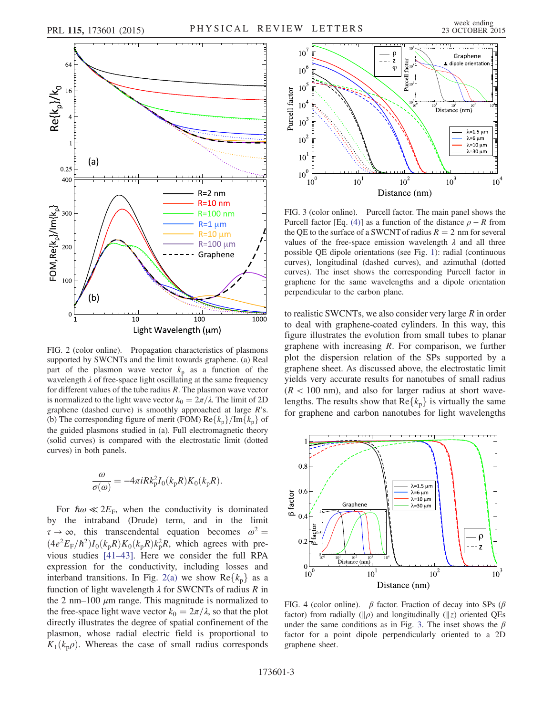<span id="page-2-0"></span>

FIG. 2 (color online). Propagation characteristics of plasmons supported by SWCNTs and the limit towards graphene. (a) Real part of the plasmon wave vector  $k_p$  as a function of the wavelength  $\lambda$  of free-space light oscillating at the same frequency for different values of the tube radius  $R$ . The plasmon wave vector is normalized to the light wave vector  $k_0 = 2\pi/\lambda$ . The limit of 2D graphene (dashed curve) is smoothly approached at large  $R$ 's. (b) The corresponding figure of merit (FOM)  $\text{Re}\{k_{\text{p}}\}/\text{Im}\{k_{\text{p}}\}$  of the guided plasmons studied in (a). Full electromagnetic theory (solid curves) is compared with the electrostatic limit (dotted curves) in both panels.

$$
\frac{\omega}{\sigma(\omega)} = -4\pi i R k_{\rm p}^2 I_0(k_{\rm p}R) K_0(k_{\rm p}R).
$$

For  $\hbar \omega \ll 2E_F$ , when the conductivity is dominated by the intraband (Drude) term, and in the limit  $\tau \to \infty$ , this transcendental equation becomes  $\omega^2 =$  $(4e^2E_F/\hbar^2)I_0(k_pR)K_0(k_pR)k_p^2R$ , which agrees with pre-<br>vious studies [41,43]. Here we consider the full PPA vious studies [41–[43\].](#page-4-22) Here we consider the full RPA expression for the conductivity, including losses and interband transitions. In Fig. [2\(a\)](#page-2-0) we show  $Re\{k_{p}\}\$ as a function of light wavelength  $\lambda$  for SWCNTs of radius R in the 2 nm–100  $\mu$ m range. This magnitude is normalized to the free-space light wave vector  $k_0 = 2\pi/\lambda$ , so that the plot directly illustrates the degree of spatial confinement of the plasmon, whose radial electric field is proportional to  $K_1(k_p \rho)$ . Whereas the case of small radius corresponds

<span id="page-2-1"></span>

FIG. 3 (color online). Purcell factor. The main panel shows the Purcell factor [Eq. [\(4\)](#page-3-0)] as a function of the distance  $\rho - R$  from the QE to the surface of a SWCNT of radius  $R = 2$  nm for several values of the free-space emission wavelength  $\lambda$  and all three possible QE dipole orientations (see Fig. [1\)](#page-1-0): radial (continuous curves), longitudinal (dashed curves), and azimuthal (dotted curves). The inset shows the corresponding Purcell factor in graphene for the same wavelengths and a dipole orientation perpendicular to the carbon plane.

to realistic SWCNTs, we also consider very large  $R$  in order to deal with graphene-coated cylinders. In this way, this figure illustrates the evolution from small tubes to planar graphene with increasing  $R$ . For comparison, we further plot the dispersion relation of the SPs supported by a graphene sheet. As discussed above, the electrostatic limit yields very accurate results for nanotubes of small radius  $(R < 100$  nm), and also for larger radius at short wavelengths. The results show that  $\text{Re}\{k_{p}\}\$ is virtually the same for graphene and carbon nanotubes for light wavelengths

<span id="page-2-2"></span>

FIG. 4 (color online).  $\beta$  factor. Fraction of decay into SPs ( $\beta$ factor) from radially ( $\|\rho$ ) and longitudinally ( $\|z\|$ ) oriented QEs under the same conditions as in Fig. [3](#page-2-1). The inset shows the  $\beta$ factor for a point dipole perpendicularly oriented to a 2D graphene sheet.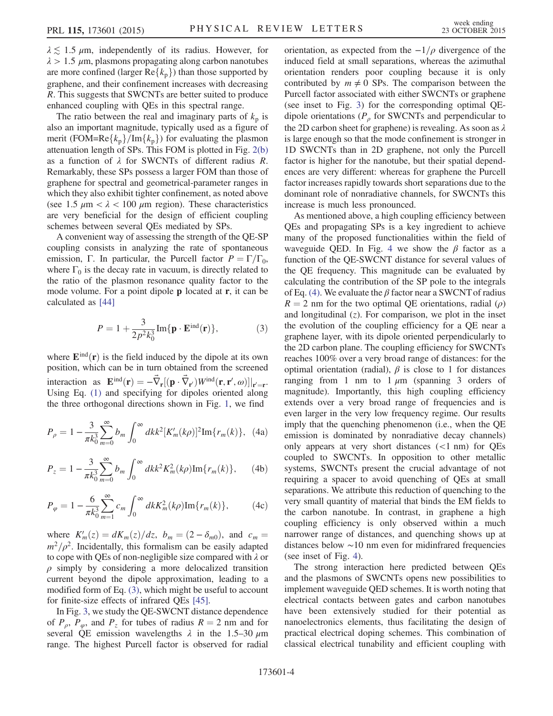$\lambda \lesssim 1.5 \mu$ m, independently of its radius. However, for  $\lambda > 1.5 \mu$ m, plasmons propagating along carbon nanotubes are more confined (larger  $\text{Re}\{k_{p}\}\$ ) than those supported by graphene, and their confinement increases with decreasing R. This suggests that SWCNTs are better suited to produce enhanced coupling with QEs in this spectral range.

The ratio between the real and imaginary parts of  $k_p$  is also an important magnitude, typically used as a figure of merit (FOM=Re $\{k_p\}$ /Im $\{k_p\}$ ) for evaluating the plasmon attenuation length of SPs. This FOM is plotted in Fig. [2\(b\)](#page-2-0) as a function of  $\lambda$  for SWCNTs of different radius R. Remarkably, these SPs possess a larger FOM than those of graphene for spectral and geometrical-parameter ranges in which they also exhibit tighter confinement, as noted above (see 1.5  $\mu$ m <  $\lambda$  < 100  $\mu$ m region). These characteristics are very beneficial for the design of efficient coupling schemes between several QEs mediated by SPs.

A convenient way of assessing the strength of the QE-SP coupling consists in analyzing the rate of spontaneous emission, Γ. In particular, the Purcell factor  $P = \Gamma/\Gamma_0$ , where  $\Gamma_0$  is the decay rate in vacuum, is directly related to the ratio of the plasmon resonance quality factor to the mode volume. For a point dipole **p** located at **r**, it can be calculated as [\[44\]](#page-4-23)

<span id="page-3-1"></span>
$$
P = 1 + \frac{3}{2p^2 k_0^3} \text{Im}\{\mathbf{p} \cdot \mathbf{E}^{\text{ind}}(\mathbf{r})\},\tag{3}
$$

where  $\mathbf{E}^{\text{ind}}(\mathbf{r})$  is the field induced by the dipole at its own position, which can be in turn obtained from the screened interaction as  $\mathbf{E}^{\text{ind}}(\mathbf{r}) = -\vec{\nabla}_{\mathbf{r}}[(\mathbf{p} \cdot \vec{\nabla}_{\mathbf{r}})W^{\text{ind}}(\mathbf{r}, \mathbf{r}', \omega)]|_{\mathbf{r}' = \mathbf{r}}$ .<br>Hsing Eq. (1) and specifying for dipoles oriented along interaction as  $\mathbf{E}^{-1}(\mathbf{r}) = -\mathbf{v}_{\mathbf{r}}[(\mathbf{p} \cdot \mathbf{v}_{\mathbf{r}}')w^{-1}(\mathbf{r}, \mathbf{r}, \omega)]|_{\mathbf{r}'=\mathbf{r}}$ .<br>Using Eq. [\(1\)](#page-1-1) and specifying for dipoles oriented along the three orthogonal directions shown in Fig. [1,](#page-1-0) we find

<span id="page-3-0"></span>
$$
P_{\rho} = 1 - \frac{3}{\pi k_0^3} \sum_{m=0}^{\infty} b_m \int_0^{\infty} dk k^2 [K'_m(k\rho)]^2 \text{Im}\{r_m(k)\}, \tag{4a}
$$

$$
P_z = 1 - \frac{3}{\pi k_0^3} \sum_{m=0}^{\infty} b_m \int_0^{\infty} dk k^2 K_m^2(k\rho) \text{Im}\{r_m(k)\}, \qquad (4b)
$$

$$
P_{\varphi} = 1 - \frac{6}{\pi k_0^3} \sum_{m=1}^{\infty} c_m \int_0^{\infty} dk K_m^2(k\rho) \text{Im}\{r_m(k)\},\tag{4c}
$$

where  $K'_m(z) = dK_m(z)/dz$ ,  $b_m = (2 - \delta_{m0})$ , and  $c_m = m^2/a^2$  Incidentally this formalism can be easily adapted  $m^2/\rho^2$ . Incidentally, this formalism can be easily adapted to cope with QEs of non-negligible size compared with λ or  $\rho$  simply by considering a more delocalized transition current beyond the dipole approximation, leading to a modified form of Eq. [\(3\)](#page-3-1), which might be useful to account for finite-size effects of infrared QEs [\[45\].](#page-4-24)

In Fig. [3](#page-2-1), we study the QE-SWCNT distance dependence of  $P_{\rho}$ ,  $P_{\varphi}$ , and  $P_{z}$  for tubes of radius  $R = 2$  nm and for several QE emission wavelengths  $\lambda$  in the 1.5–30  $\mu$ m range. The highest Purcell factor is observed for radial orientation, as expected from the  $-1/\rho$  divergence of the induced field at small separations, whereas the azimuthal orientation renders poor coupling because it is only contributed by  $m \neq 0$  SPs. The comparison between the Purcell factor associated with either SWCNTs or graphene (see inset to Fig. [3\)](#page-2-1) for the corresponding optimal QEdipole orientations ( $P_\rho$  for SWCNTs and perpendicular to the 2D carbon sheet for graphene) is revealing. As soon as  $\lambda$ is large enough so that the mode confinement is stronger in 1D SWCNTs than in 2D graphene, not only the Purcell factor is higher for the nanotube, but their spatial dependences are very different: whereas for graphene the Purcell factor increases rapidly towards short separations due to the dominant role of nonradiative channels, for SWCNTs this increase is much less pronounced.

As mentioned above, a high coupling efficiency between QEs and propagating SPs is a key ingredient to achieve many of the proposed functionalities within the field of waveguide QED. In Fig. [4](#page-2-2) we show the  $\beta$  factor as a function of the QE-SWCNT distance for several values of the QE frequency. This magnitude can be evaluated by calculating the contribution of the SP pole to the integrals of Eq. [\(4\)](#page-3-0). We evaluate the  $\beta$  factor near a SWCNT of radius  $R = 2$  nm for the two optimal QE orientations, radial (ρ) and longitudinal  $(z)$ . For comparison, we plot in the inset the evolution of the coupling efficiency for a QE near a graphene layer, with its dipole oriented perpendicularly to the 2D carbon plane. The coupling efficiency for SWCNTs reaches 100% over a very broad range of distances: for the optimal orientation (radial),  $β$  is close to 1 for distances ranging from 1 nm to  $1 \mu m$  (spanning 3 orders of magnitude). Importantly, this high coupling efficiency extends over a very broad range of frequencies and is even larger in the very low frequency regime. Our results imply that the quenching phenomenon (i.e., when the QE emission is dominated by nonradiative decay channels) only appears at very short distances (<1 nm) for QEs coupled to SWCNTs. In opposition to other metallic systems, SWCNTs present the crucial advantage of not requiring a spacer to avoid quenching of QEs at small separations. We attribute this reduction of quenching to the very small quantity of material that binds the EM fields to the carbon nanotube. In contrast, in graphene a high coupling efficiency is only observed within a much narrower range of distances, and quenching shows up at distances below ∼10 nm even for midinfrared frequencies (see inset of Fig. [4](#page-2-2)).

The strong interaction here predicted between QEs and the plasmons of SWCNTs opens new possibilities to implement waveguide QED schemes. It is worth noting that electrical contacts between gates and carbon nanotubes have been extensively studied for their potential as nanoelectronics elements, thus facilitating the design of practical electrical doping schemes. This combination of classical electrical tunability and efficient coupling with